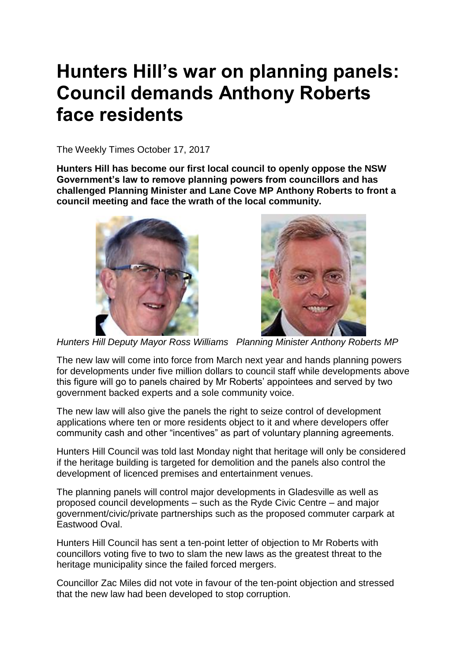## **Hunters Hill's war on planning panels: Council demands Anthony Roberts face residents**

The Weekly Times October 17, 2017

**Hunters Hill has become our first local council to openly oppose the NSW Government's law to remove planning powers from councillors and has challenged Planning Minister and Lane Cove MP Anthony Roberts to front a council meeting and face the wrath of the local community.**





*Hunters Hill Deputy Mayor Ross Williams Planning Minister Anthony Roberts MP*

The new law will come into force from March next year and hands planning powers for developments under five million dollars to council staff while developments above this figure will go to panels chaired by Mr Roberts' appointees and served by two government backed experts and a sole community voice.

The new law will also give the panels the right to seize control of development applications where ten or more residents object to it and where developers offer community cash and other "incentives" as part of voluntary planning agreements.

Hunters Hill Council was told last Monday night that heritage will only be considered if the heritage building is targeted for demolition and the panels also control the development of licenced premises and entertainment venues.

The planning panels will control major developments in Gladesville as well as proposed council developments – such as the Ryde Civic Centre – and major government/civic/private partnerships such as the proposed commuter carpark at Eastwood Oval.

Hunters Hill Council has sent a ten-point letter of objection to Mr Roberts with councillors voting five to two to slam the new laws as the greatest threat to the heritage municipality since the failed forced mergers.

Councillor Zac Miles did not vote in favour of the ten-point objection and stressed that the new law had been developed to stop corruption.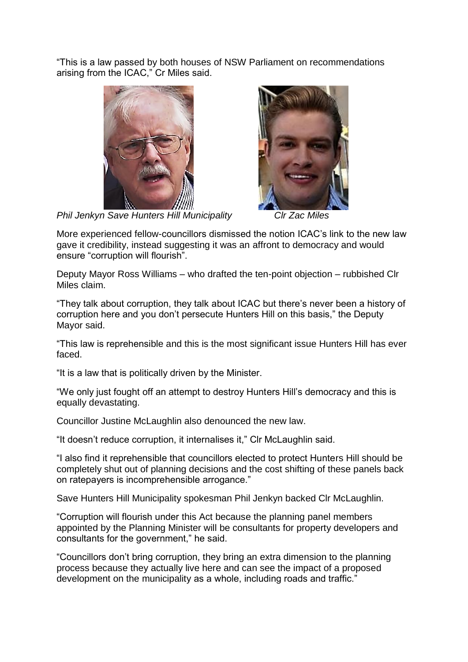"This is a law passed by both houses of NSW Parliament on recommendations arising from the ICAC," Cr Miles said.





*Phil Jenkyn Save Hunters Hill Municipality Clr Zac Miles* 

More experienced fellow-councillors dismissed the notion ICAC's link to the new law gave it credibility, instead suggesting it was an affront to democracy and would ensure "corruption will flourish".

Deputy Mayor Ross Williams – who drafted the ten-point objection – rubbished Clr Miles claim.

"They talk about corruption, they talk about ICAC but there's never been a history of corruption here and you don't persecute Hunters Hill on this basis," the Deputy Mayor said.

"This law is reprehensible and this is the most significant issue Hunters Hill has ever faced.

"It is a law that is politically driven by the Minister.

"We only just fought off an attempt to destroy Hunters Hill's democracy and this is equally devastating.

Councillor Justine McLaughlin also denounced the new law.

"It doesn't reduce corruption, it internalises it," Clr McLaughlin said.

"I also find it reprehensible that councillors elected to protect Hunters Hill should be completely shut out of planning decisions and the cost shifting of these panels back on ratepayers is incomprehensible arrogance."

Save Hunters Hill Municipality spokesman Phil Jenkyn backed Clr McLaughlin.

"Corruption will flourish under this Act because the planning panel members appointed by the Planning Minister will be consultants for property developers and consultants for the government," he said.

"Councillors don't bring corruption, they bring an extra dimension to the planning process because they actually live here and can see the impact of a proposed development on the municipality as a whole, including roads and traffic."